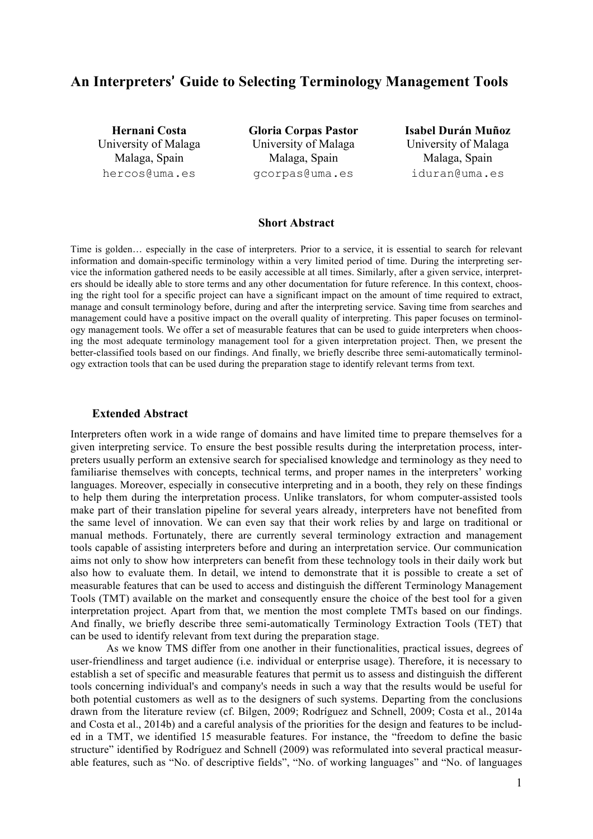# **An Interpreters**' **Guide to Selecting Terminology Management Tools**

**Hernani Costa** University of Malaga Malaga, Spain hercos@uma.es

**Gloria Corpas Pastor** University of Malaga Malaga, Spain gcorpas@uma.es

**Isabel Durán Muñoz** University of Malaga Malaga, Spain iduran@uma.es

## **Short Abstract**

Time is golden… especially in the case of interpreters. Prior to a service, it is essential to search for relevant information and domain-specific terminology within a very limited period of time. During the interpreting service the information gathered needs to be easily accessible at all times. Similarly, after a given service, interpreters should be ideally able to store terms and any other documentation for future reference. In this context, choosing the right tool for a specific project can have a significant impact on the amount of time required to extract, manage and consult terminology before, during and after the interpreting service. Saving time from searches and management could have a positive impact on the overall quality of interpreting. This paper focuses on terminology management tools. We offer a set of measurable features that can be used to guide interpreters when choosing the most adequate terminology management tool for a given interpretation project. Then, we present the better-classified tools based on our findings. And finally, we briefly describe three semi-automatically terminology extraction tools that can be used during the preparation stage to identify relevant terms from text.

#### **Extended Abstract**

Interpreters often work in a wide range of domains and have limited time to prepare themselves for a given interpreting service. To ensure the best possible results during the interpretation process, interpreters usually perform an extensive search for specialised knowledge and terminology as they need to familiarise themselves with concepts, technical terms, and proper names in the interpreters' working languages. Moreover, especially in consecutive interpreting and in a booth, they rely on these findings to help them during the interpretation process. Unlike translators, for whom computer-assisted tools make part of their translation pipeline for several years already, interpreters have not benefited from the same level of innovation. We can even say that their work relies by and large on traditional or manual methods. Fortunately, there are currently several terminology extraction and management tools capable of assisting interpreters before and during an interpretation service. Our communication aims not only to show how interpreters can benefit from these technology tools in their daily work but also how to evaluate them. In detail, we intend to demonstrate that it is possible to create a set of measurable features that can be used to access and distinguish the different Terminology Management Tools (TMT) available on the market and consequently ensure the choice of the best tool for a given interpretation project. Apart from that, we mention the most complete TMTs based on our findings. And finally, we briefly describe three semi-automatically Terminology Extraction Tools (TET) that can be used to identify relevant from text during the preparation stage.

As we know TMS differ from one another in their functionalities, practical issues, degrees of user-friendliness and target audience (i.e. individual or enterprise usage). Therefore, it is necessary to establish a set of specific and measurable features that permit us to assess and distinguish the different tools concerning individual's and company's needs in such a way that the results would be useful for both potential customers as well as to the designers of such systems. Departing from the conclusions drawn from the literature review (cf. Bilgen, 2009; Rodríguez and Schnell, 2009; Costa et al., 2014a and Costa et al., 2014b) and a careful analysis of the priorities for the design and features to be included in a TMT, we identified 15 measurable features. For instance, the "freedom to define the basic structure" identified by Rodríguez and Schnell (2009) was reformulated into several practical measurable features, such as "No. of descriptive fields", "No. of working languages" and "No. of languages